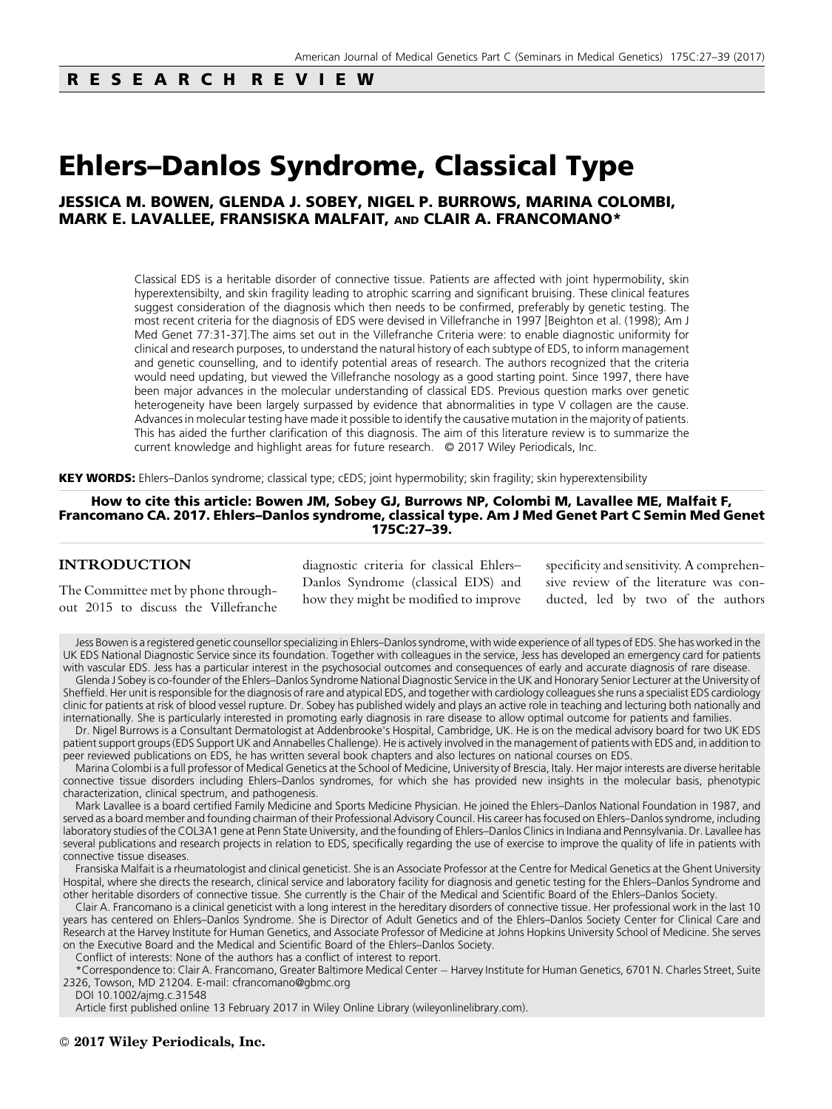# RESEARCH REVIEW

# Ehlers–Danlos Syndrome, Classical Type

# JESSICA M. BOWEN, GLENDA J. SOBEY, NIGEL P. BURROWS, MARINA COLOMBI, MARK E. LAVALLEE, FRANSISKA MALFAIT, AND CLAIR A. FRANCOMANO\*

Classical EDS is a heritable disorder of connective tissue. Patients are affected with joint hypermobility, skin hyperextensibilty, and skin fragility leading to atrophic scarring and significant bruising. These clinical features suggest consideration of the diagnosis which then needs to be confirmed, preferably by genetic testing. The most recent criteria for the diagnosis of EDS were devised in Villefranche in 1997 [Beighton et al. (1998); Am J Med Genet 77:31-37].The aims set out in the Villefranche Criteria were: to enable diagnostic uniformity for clinical and research purposes, to understand the natural history of each subtype of EDS, to inform management and genetic counselling, and to identify potential areas of research. The authors recognized that the criteria would need updating, but viewed the Villefranche nosology as a good starting point. Since 1997, there have been major advances in the molecular understanding of classical EDS. Previous question marks over genetic heterogeneity have been largely surpassed by evidence that abnormalities in type V collagen are the cause. Advances in molecular testing have made it possible to identify the causative mutation in the majority of patients. This has aided the further clarification of this diagnosis. The aim of this literature review is to summarize the current knowledge and highlight areas for future research. © 2017 Wiley Periodicals, Inc.

KEY WORDS: Ehlers-Danlos syndrome; classical type; cEDS; joint hypermobility; skin fragility; skin hyperextensibility

How to cite this article: Bowen JM, Sobey GJ, Burrows NP, Colombi M, Lavallee ME, Malfait F, Francomano CA. 2017. Ehlers–Danlos syndrome, classical type. Am J Med Genet Part C Semin Med Genet 175C:27–39.

## INTRODUCTION

The Committee met by phone throughout 2015 to discuss the Villefranche diagnostic criteria for classical Ehlers– Danlos Syndrome (classical EDS) and how they might be modified to improve

specificity and sensitivity. A comprehensive review of the literature was conducted, led by two of the authors

Jess Bowen is a registered genetic counsellor specializing in Ehlers–Danlos syndrome, with wide experience of all types of EDS. She has worked in the UK EDS National Diagnostic Service since its foundation. Together with colleagues in the service, Jess has developed an emergency card for patients with vascular EDS. Jess has a particular interest in the psychosocial outcomes and consequences of early and accurate diagnosis of rare disease.

Glenda J Sobey is co-founder of the Ehlers–Danlos Syndrome National Diagnostic Service in the UK and Honorary Senior Lecturer at the University of Sheffield. Her unit is responsible for the diagnosis of rare and atypical EDS, and together with cardiology colleagues she runs a specialist EDS cardiology clinic for patients at risk of blood vessel rupture. Dr. Sobey has published widely and plays an active role in teaching and lecturing both nationally and internationally. She is particularly interested in promoting early diagnosis in rare disease to allow optimal outcome for patients and families.

Dr. Nigel Burrows is a Consultant Dermatologist at Addenbrooke's Hospital, Cambridge, UK. He is on the medical advisory board for two UK EDS patient support groups (EDS Support UK and Annabelles Challenge). He is actively involved in the management of patients with EDS and, in addition to peer reviewed publications on EDS, he has written several book chapters and also lectures on national courses on EDS.

Marina Colombi is a full professor of Medical Genetics at the School of Medicine, University of Brescia, Italy. Her major interests are diverse heritable connective tissue disorders including Ehlers–Danlos syndromes, for which she has provided new insights in the molecular basis, phenotypic characterization, clinical spectrum, and pathogenesis.

Mark Lavallee is a board certified Family Medicine and Sports Medicine Physician. He joined the Ehlers–Danlos National Foundation in 1987, and served as a board member and founding chairman of their Professional Advisory Council. His career has focused on Ehlers–Danlos syndrome, including laboratory studies of the COL3A1 gene at Penn State University, and the founding of Ehlers–Danlos Clinics in Indiana and Pennsylvania. Dr. Lavallee has several publications and research projects in relation to EDS, specifically regarding the use of exercise to improve the quality of life in patients with connective tissue diseases.

Fransiska Malfait is a rheumatologist and clinical geneticist. She is an Associate Professor at the Centre for Medical Genetics at the Ghent University Hospital, where she directs the research, clinical service and laboratory facility for diagnosis and genetic testing for the Ehlers–Danlos Syndrome and other heritable disorders of connective tissue. She currently is the Chair of the Medical and Scientific Board of the Ehlers–Danlos Society.

Clair A. Francomano is a clinical geneticist with a long interest in the hereditary disorders of connective tissue. Her professional work in the last 10 years has centered on Ehlers–Danlos Syndrome. She is Director of Adult Genetics and of the Ehlers–Danlos Society Center for Clinical Care and Research at the Harvey Institute for Human Genetics, and Associate Professor of Medicine at Johns Hopkins University School of Medicine. She serves on the Executive Board and the Medical and Scientific Board of the Ehlers–Danlos Society.

Conflict of interests: None of the authors has a conflict of interest to report.

\*Correspondence to: Clair A. Francomano, Greater Baltimore Medical Center Harvey Institute for Human Genetics, 6701 N. Charles Street, Suite 2326, Towson, MD 21204. E-mail: cfrancomano@gbmc.org

DOI 10.1002/ajmg.c.31548

Article first published online 13 February 2017 in Wiley Online Library (wileyonlinelibrary.com).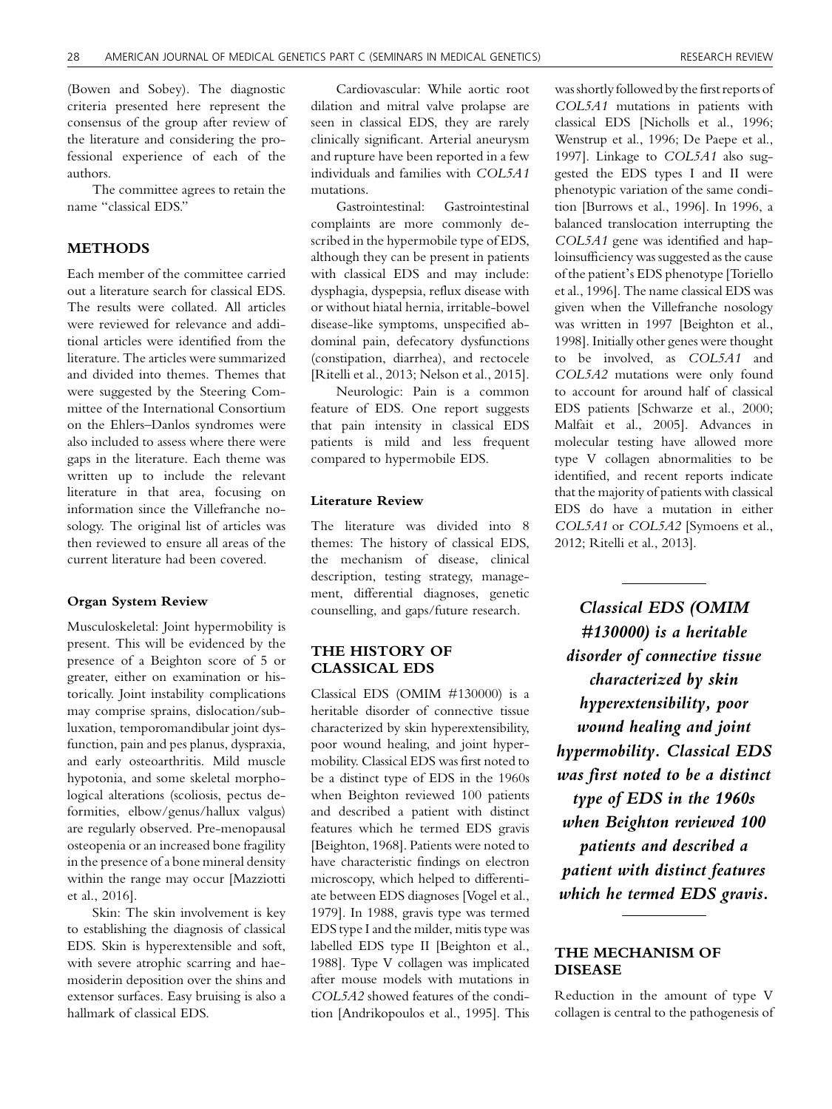(Bowen and Sobey). The diagnostic criteria presented here represent the consensus of the group after review of the literature and considering the professional experience of each of the authors.

The committee agrees to retain the name "classical EDS."

## METHODS

Each member of the committee carried out a literature search for classical EDS. The results were collated. All articles were reviewed for relevance and additional articles were identified from the literature. The articles were summarized and divided into themes. Themes that were suggested by the Steering Committee of the International Consortium on the Ehlers–Danlos syndromes were also included to assess where there were gaps in the literature. Each theme was written up to include the relevant literature in that area, focusing on information since the Villefranche nosology. The original list of articles was then reviewed to ensure all areas of the current literature had been covered.

#### Organ System Review

Musculoskeletal: Joint hypermobility is present. This will be evidenced by the presence of a Beighton score of 5 or greater, either on examination or historically. Joint instability complications may comprise sprains, dislocation/subluxation, temporomandibular joint dysfunction, pain and pes planus, dyspraxia, and early osteoarthritis. Mild muscle hypotonia, and some skeletal morphological alterations (scoliosis, pectus deformities, elbow/genus/hallux valgus) are regularly observed. Pre-menopausal osteopenia or an increased bone fragility in the presence of a bone mineral density within the range may occur [Mazziotti et al., 2016].

Skin: The skin involvement is key to establishing the diagnosis of classical EDS. Skin is hyperextensible and soft, with severe atrophic scarring and haemosiderin deposition over the shins and extensor surfaces. Easy bruising is also a hallmark of classical EDS.

Cardiovascular: While aortic root dilation and mitral valve prolapse are seen in classical EDS, they are rarely clinically significant. Arterial aneurysm and rupture have been reported in a few individuals and families with COL5A1 mutations.

Gastrointestinal: Gastrointestinal complaints are more commonly described in the hypermobile type of EDS, although they can be present in patients with classical EDS and may include: dysphagia, dyspepsia, reflux disease with or without hiatal hernia, irritable-bowel disease-like symptoms, unspecified abdominal pain, defecatory dysfunctions (constipation, diarrhea), and rectocele [Ritelli et al., 2013; Nelson et al., 2015].

Neurologic: Pain is a common feature of EDS. One report suggests that pain intensity in classical EDS patients is mild and less frequent compared to hypermobile EDS.

#### Literature Review

The literature was divided into 8 themes: The history of classical EDS, the mechanism of disease, clinical description, testing strategy, management, differential diagnoses, genetic counselling, and gaps/future research.

# THE HISTORY OF CLASSICAL EDS

Classical EDS (OMIM #130000) is a heritable disorder of connective tissue characterized by skin hyperextensibility, poor wound healing, and joint hypermobility. Classical EDS was first noted to be a distinct type of EDS in the 1960s when Beighton reviewed 100 patients and described a patient with distinct features which he termed EDS gravis [Beighton, 1968]. Patients were noted to have characteristic findings on electron microscopy, which helped to differentiate between EDS diagnoses [Vogel et al., 1979]. In 1988, gravis type was termed EDS type I and the milder, mitis type was labelled EDS type II [Beighton et al., 1988]. Type V collagen was implicated after mouse models with mutations in COL5A2 showed features of the condition [Andrikopoulos et al., 1995]. This was shortly followed by the first reports of COL5A1 mutations in patients with classical EDS [Nicholls et al., 1996; Wenstrup et al., 1996; De Paepe et al., 1997]. Linkage to COL5A1 also suggested the EDS types I and II were phenotypic variation of the same condition [Burrows et al., 1996]. In 1996, a balanced translocation interrupting the COL5A1 gene was identified and haploinsufficiency was suggested as the cause of the patient's EDS phenotype [Toriello et al., 1996]. The name classical EDS was given when the Villefranche nosology was written in 1997 [Beighton et al., 1998]. Initially other genes were thought to be involved, as COL5A1 and COL5A2 mutations were only found to account for around half of classical EDS patients [Schwarze et al., 2000; Malfait et al., 2005]. Advances in molecular testing have allowed more type V collagen abnormalities to be identified, and recent reports indicate that the majority of patients with classical EDS do have a mutation in either COL5A1 or COL5A2 [Symoens et al., 2012; Ritelli et al., 2013].

Classical EDS (OMIM #130000) is a heritable disorder of connective tissue characterized by skin hyperextensibility, poor wound healing and joint hypermobility. Classical EDS was first noted to be a distinct type of EDS in the 1960s when Beighton reviewed 100 patients and described a patient with distinct features which he termed EDS gravis.

## THE MECHANISM OF DISEASE

Reduction in the amount of type V collagen is central to the pathogenesis of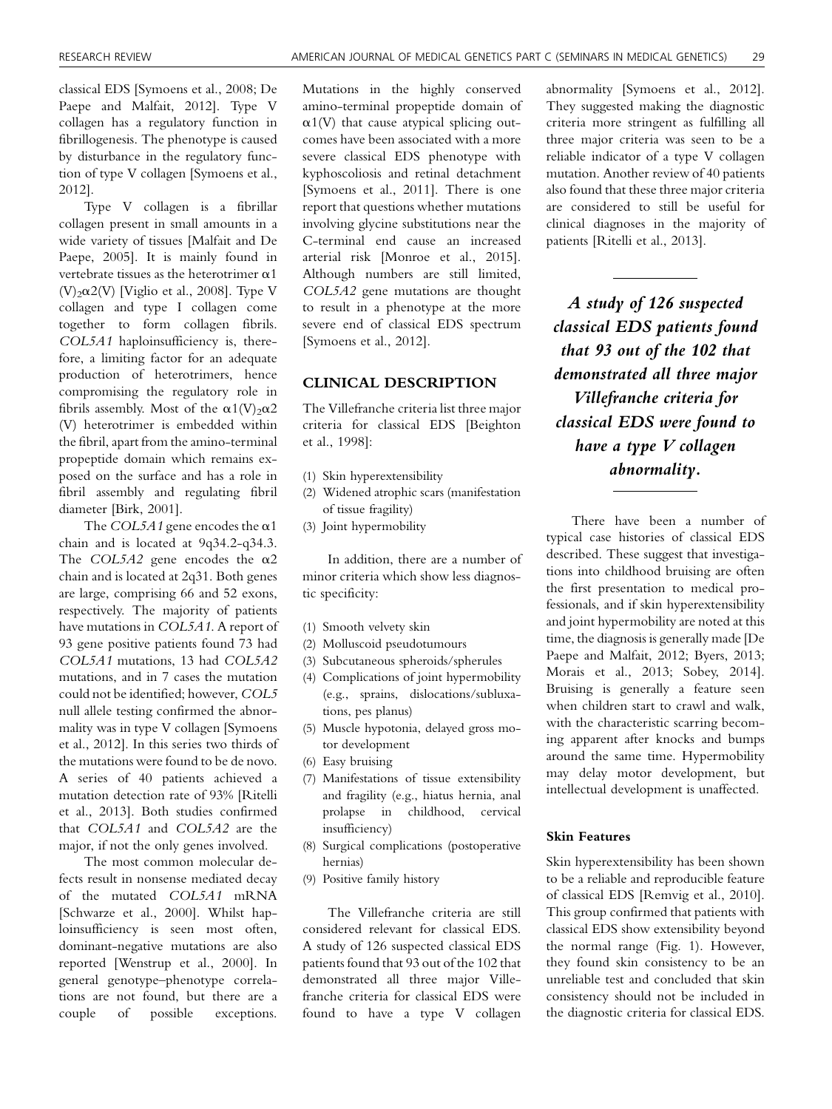classical EDS [Symoens et al., 2008; De Paepe and Malfait, 2012]. Type V collagen has a regulatory function in fibrillogenesis. The phenotype is caused by disturbance in the regulatory function of type V collagen [Symoens et al., 2012].

Type V collagen is a fibrillar collagen present in small amounts in a wide variety of tissues [Malfait and De Paepe, 2005]. It is mainly found in vertebrate tissues as the heterotrimer  $\alpha$ 1 (V)<sub>2</sub> $\alpha$ 2(V) [Viglio et al., 2008]. Type V collagen and type I collagen come together to form collagen fibrils. COL5A1 haploinsufficiency is, therefore, a limiting factor for an adequate production of heterotrimers, hence compromising the regulatory role in fibrils assembly. Most of the  $\alpha_1(V)_2\alpha_2$ (V) heterotrimer is embedded within the fibril, apart from the amino-terminal propeptide domain which remains exposed on the surface and has a role in fibril assembly and regulating fibril diameter [Birk, 2001].

The COL5A1 gene encodes the  $\alpha$ 1 chain and is located at 9q34.2-q34.3. The COL5A2 gene encodes the  $\alpha$ 2 chain and is located at 2q31. Both genes are large, comprising 66 and 52 exons, respectively. The majority of patients have mutations in COL5A1. A report of 93 gene positive patients found 73 had COL5A1 mutations, 13 had COL5A2 mutations, and in 7 cases the mutation could not be identified; however, COL5 null allele testing confirmed the abnormality was in type V collagen [Symoens et al., 2012]. In this series two thirds of the mutations were found to be de novo. A series of 40 patients achieved a mutation detection rate of 93% [Ritelli et al., 2013]. Both studies confirmed that COL5A1 and COL5A2 are the major, if not the only genes involved.

The most common molecular defects result in nonsense mediated decay of the mutated COL5A1 mRNA [Schwarze et al., 2000]. Whilst haploinsufficiency is seen most often, dominant-negative mutations are also reported [Wenstrup et al., 2000]. In general genotype–phenotype correlations are not found, but there are a couple of possible exceptions. Mutations in the highly conserved amino-terminal propeptide domain of  $\alpha$ 1(V) that cause atypical splicing outcomes have been associated with a more severe classical EDS phenotype with kyphoscoliosis and retinal detachment [Symoens et al., 2011]. There is one report that questions whether mutations involving glycine substitutions near the C-terminal end cause an increased arterial risk [Monroe et al., 2015]. Although numbers are still limited, COL5A2 gene mutations are thought to result in a phenotype at the more severe end of classical EDS spectrum [Symoens et al., 2012].

## CLINICAL DESCRIPTION

The Villefranche criteria list three major criteria for classical EDS [Beighton et al., 1998]:

- (1) Skin hyperextensibility
- (2) Widened atrophic scars (manifestation of tissue fragility)
- (3) Joint hypermobility

In addition, there are a number of minor criteria which show less diagnostic specificity:

- (1) Smooth velvety skin
- (2) Molluscoid pseudotumours
- (3) Subcutaneous spheroids/spherules (4) Complications of joint hypermobility
- (e.g., sprains, dislocations/subluxations, pes planus)
- (5) Muscle hypotonia, delayed gross motor development
- (6) Easy bruising
- (7) Manifestations of tissue extensibility and fragility (e.g., hiatus hernia, anal prolapse in childhood, cervical insufficiency)
- (8) Surgical complications (postoperative hernias)
- (9) Positive family history

The Villefranche criteria are still considered relevant for classical EDS. A study of 126 suspected classical EDS patients found that 93 out of the 102 that demonstrated all three major Villefranche criteria for classical EDS were found to have a type V collagen abnormality [Symoens et al., 2012]. They suggested making the diagnostic criteria more stringent as fulfilling all three major criteria was seen to be a reliable indicator of a type V collagen mutation. Another review of 40 patients also found that these three major criteria are considered to still be useful for clinical diagnoses in the majority of patients [Ritelli et al., 2013].

A study of 126 suspected classical EDS patients found that 93 out of the 102 that demonstrated all three major Villefranche criteria for classical EDS were found to have a type V collagen abnormality.

There have been a number of typical case histories of classical EDS described. These suggest that investigations into childhood bruising are often the first presentation to medical professionals, and if skin hyperextensibility and joint hypermobility are noted at this time, the diagnosis is generally made [De Paepe and Malfait, 2012; Byers, 2013; Morais et al., 2013; Sobey, 2014]. Bruising is generally a feature seen when children start to crawl and walk, with the characteristic scarring becoming apparent after knocks and bumps around the same time. Hypermobility may delay motor development, but intellectual development is unaffected.

## Skin Features

Skin hyperextensibility has been shown to be a reliable and reproducible feature of classical EDS [Remvig et al., 2010]. This group confirmed that patients with classical EDS show extensibility beyond the normal range (Fig. 1). However, they found skin consistency to be an unreliable test and concluded that skin consistency should not be included in the diagnostic criteria for classical EDS.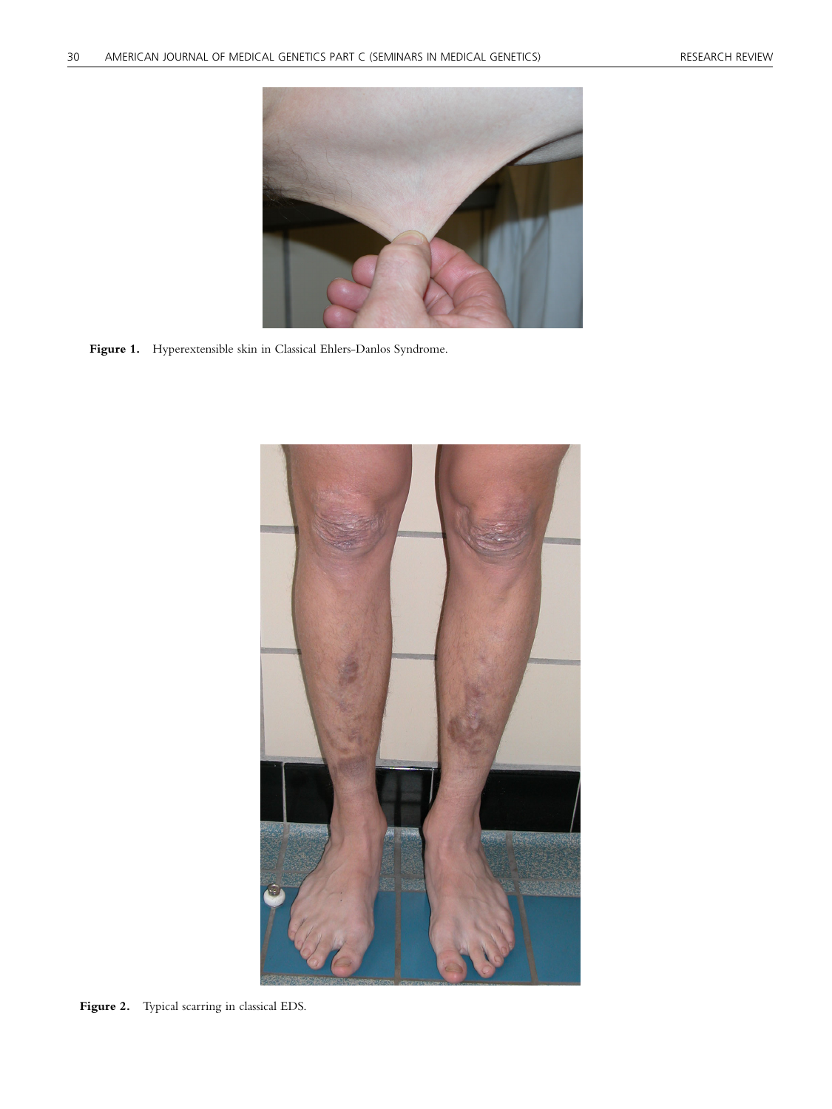

Figure 1. Hyperextensible skin in Classical Ehlers-Danlos Syndrome.



Figure 2. Typical scarring in classical EDS.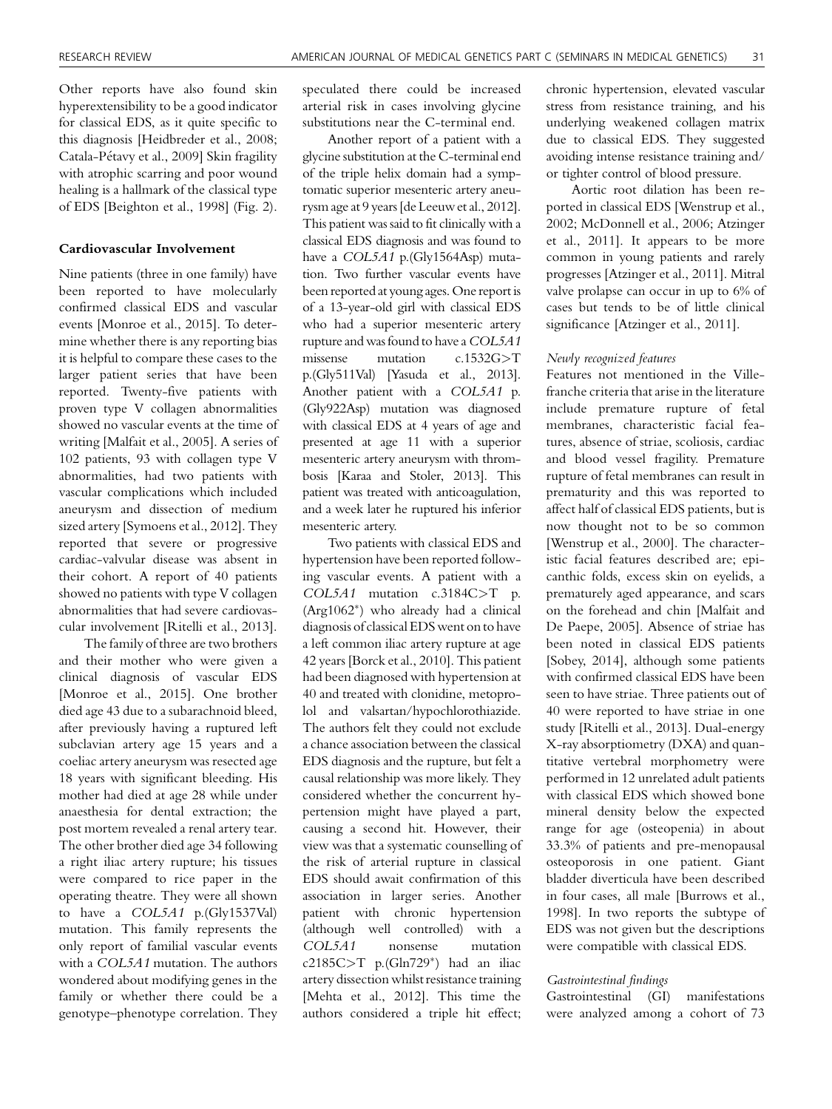Other reports have also found skin hyperextensibility to be a good indicator for classical EDS, as it quite specific to this diagnosis [Heidbreder et al., 2008; Catala-Pétavy et al., 2009] Skin fragility with atrophic scarring and poor wound healing is a hallmark of the classical type of EDS [Beighton et al., 1998] (Fig. 2).

#### Cardiovascular Involvement

Nine patients (three in one family) have been reported to have molecularly confirmed classical EDS and vascular events [Monroe et al., 2015]. To determine whether there is any reporting bias it is helpful to compare these cases to the larger patient series that have been reported. Twenty-five patients with proven type V collagen abnormalities showed no vascular events at the time of writing [Malfait et al., 2005]. A series of 102 patients, 93 with collagen type V abnormalities, had two patients with vascular complications which included aneurysm and dissection of medium sized artery [Symoens et al., 2012]. They reported that severe or progressive cardiac-valvular disease was absent in their cohort. A report of 40 patients showed no patients with type V collagen abnormalities that had severe cardiovascular involvement [Ritelli et al., 2013].

The family of three are two brothers and their mother who were given a clinical diagnosis of vascular EDS [Monroe et al., 2015]. One brother died age 43 due to a subarachnoid bleed, after previously having a ruptured left subclavian artery age 15 years and a coeliac artery aneurysm was resected age 18 years with significant bleeding. His mother had died at age 28 while under anaesthesia for dental extraction; the post mortem revealed a renal artery tear. The other brother died age 34 following a right iliac artery rupture; his tissues were compared to rice paper in the operating theatre. They were all shown to have a COL5A1 p.(Gly1537Val) mutation. This family represents the only report of familial vascular events with a COL5A1 mutation. The authors wondered about modifying genes in the family or whether there could be a genotype–phenotype correlation. They

speculated there could be increased arterial risk in cases involving glycine substitutions near the C-terminal end.

Another report of a patient with a glycine substitution at the C-terminal end of the triple helix domain had a symptomatic superior mesenteric artery aneurysm age at 9 years [de Leeuw et al., 2012]. This patient was said to fit clinically with a classical EDS diagnosis and was found to have a COL5A1 p.(Gly1564Asp) mutation. Two further vascular events have been reported at young ages. One report is of a 13-year-old girl with classical EDS who had a superior mesenteric artery rupture and was found to have a COL5A1 missense mutation c.1532G>T p.(Gly511Val) [Yasuda et al., 2013]. Another patient with a COL5A1 p. (Gly922Asp) mutation was diagnosed with classical EDS at 4 years of age and presented at age 11 with a superior mesenteric artery aneurysm with thrombosis [Karaa and Stoler, 2013]. This patient was treated with anticoagulation, and a week later he ruptured his inferior mesenteric artery.

Two patients with classical EDS and hypertension have been reported following vascular events. A patient with a COL5A1 mutation c.3184C>T p.  $(Arg1062^*)$  who already had a clinical diagnosis of classical EDS went onto have a left common iliac artery rupture at age 42 years [Borck et al., 2010]. This patient had been diagnosed with hypertension at 40 and treated with clonidine, metoprolol and valsartan/hypochlorothiazide. The authors felt they could not exclude a chance association between the classical EDS diagnosis and the rupture, but felt a causal relationship was more likely. They considered whether the concurrent hypertension might have played a part, causing a second hit. However, their view was that a systematic counselling of the risk of arterial rupture in classical EDS should await confirmation of this association in larger series. Another patient with chronic hypertension (although well controlled) with a COL5A1 nonsense mutation  $c2185C>T$  p.(Gln729<sup>\*</sup>) had an iliac artery dissection whilst resistance training [Mehta et al., 2012]. This time the authors considered a triple hit effect;

chronic hypertension, elevated vascular stress from resistance training, and his underlying weakened collagen matrix due to classical EDS. They suggested avoiding intense resistance training and/ or tighter control of blood pressure.

Aortic root dilation has been reported in classical EDS [Wenstrup et al., 2002; McDonnell et al., 2006; Atzinger et al., 2011]. It appears to be more common in young patients and rarely progresses [Atzinger et al., 2011]. Mitral valve prolapse can occur in up to 6% of cases but tends to be of little clinical significance [Atzinger et al., 2011].

## Newly recognized features

Features not mentioned in the Villefranche criteria that arise in the literature include premature rupture of fetal membranes, characteristic facial features, absence of striae, scoliosis, cardiac and blood vessel fragility. Premature rupture of fetal membranes can result in prematurity and this was reported to affect half of classical EDS patients, but is now thought not to be so common [Wenstrup et al., 2000]. The characteristic facial features described are; epicanthic folds, excess skin on eyelids, a prematurely aged appearance, and scars on the forehead and chin [Malfait and De Paepe, 2005]. Absence of striae has been noted in classical EDS patients [Sobey, 2014], although some patients with confirmed classical EDS have been seen to have striae. Three patients out of 40 were reported to have striae in one study [Ritelli et al., 2013]. Dual-energy X-ray absorptiometry (DXA) and quantitative vertebral morphometry were performed in 12 unrelated adult patients with classical EDS which showed bone mineral density below the expected range for age (osteopenia) in about 33.3% of patients and pre-menopausal osteoporosis in one patient. Giant bladder diverticula have been described in four cases, all male [Burrows et al., 1998]. In two reports the subtype of EDS was not given but the descriptions were compatible with classical EDS.

## Gastrointestinal findings

Gastrointestinal (GI) manifestations were analyzed among a cohort of 73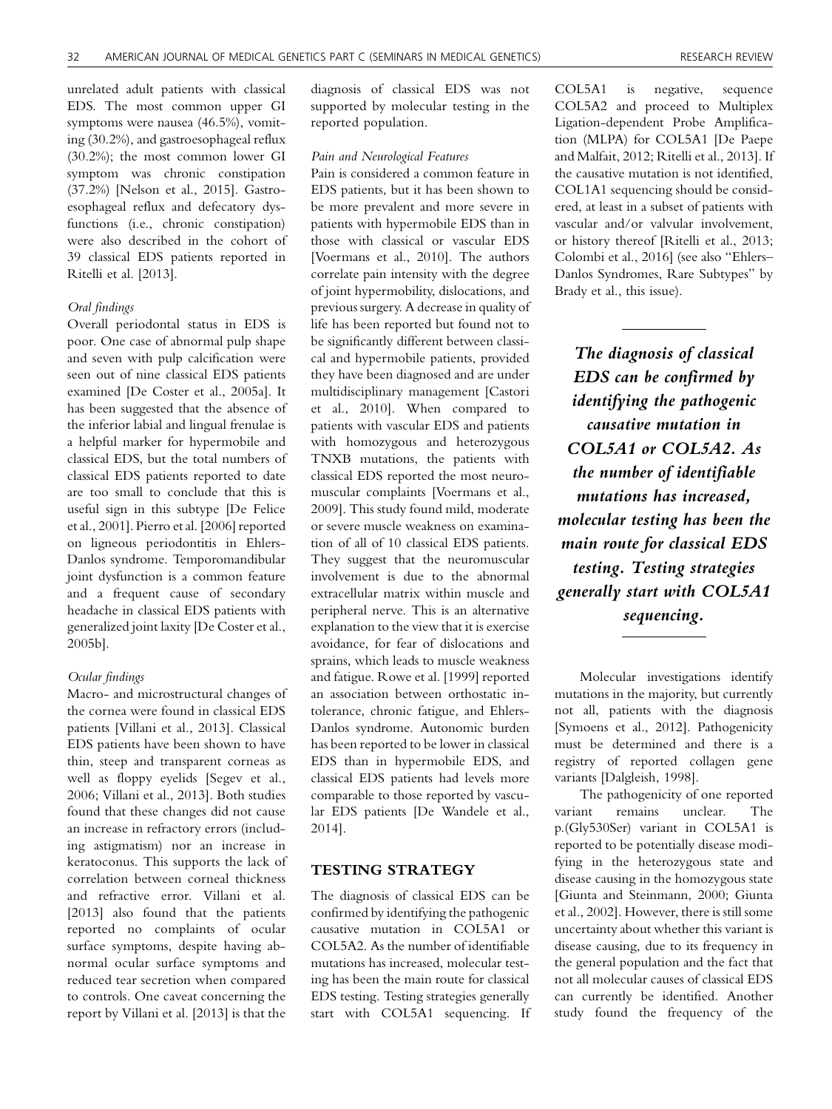unrelated adult patients with classical EDS. The most common upper GI symptoms were nausea (46.5%), vomiting (30.2%), and gastroesophageal reflux (30.2%); the most common lower GI symptom was chronic constipation (37.2%) [Nelson et al., 2015]. Gastroesophageal reflux and defecatory dysfunctions (i.e., chronic constipation) were also described in the cohort of 39 classical EDS patients reported in Ritelli et al. [2013].

#### Oral findings

Overall periodontal status in EDS is poor. One case of abnormal pulp shape and seven with pulp calcification were seen out of nine classical EDS patients examined [De Coster et al., 2005a]. It has been suggested that the absence of the inferior labial and lingual frenulae is a helpful marker for hypermobile and classical EDS, but the total numbers of classical EDS patients reported to date are too small to conclude that this is useful sign in this subtype [De Felice et al., 2001]. Pierro et al. [2006] reported on ligneous periodontitis in Ehlers-Danlos syndrome. Temporomandibular joint dysfunction is a common feature and a frequent cause of secondary headache in classical EDS patients with generalized joint laxity [De Coster et al., 2005b].

### Ocular findings

Macro- and microstructural changes of the cornea were found in classical EDS patients [Villani et al., 2013]. Classical EDS patients have been shown to have thin, steep and transparent corneas as well as floppy eyelids [Segev et al., 2006; Villani et al., 2013]. Both studies found that these changes did not cause an increase in refractory errors (including astigmatism) nor an increase in keratoconus. This supports the lack of correlation between corneal thickness and refractive error. Villani et al. [2013] also found that the patients reported no complaints of ocular surface symptoms, despite having abnormal ocular surface symptoms and reduced tear secretion when compared to controls. One caveat concerning the report by Villani et al. [2013] is that the

diagnosis of classical EDS was not supported by molecular testing in the reported population.

### Pain and Neurological Features

Pain is considered a common feature in EDS patients, but it has been shown to be more prevalent and more severe in patients with hypermobile EDS than in those with classical or vascular EDS [Voermans et al., 2010]. The authors correlate pain intensity with the degree of joint hypermobility, dislocations, and previous surgery. A decrease in quality of life has been reported but found not to be significantly different between classical and hypermobile patients, provided they have been diagnosed and are under multidisciplinary management [Castori et al., 2010]. When compared to patients with vascular EDS and patients with homozygous and heterozygous TNXB mutations, the patients with classical EDS reported the most neuromuscular complaints [Voermans et al., 2009]. This study found mild, moderate or severe muscle weakness on examination of all of 10 classical EDS patients. They suggest that the neuromuscular involvement is due to the abnormal extracellular matrix within muscle and peripheral nerve. This is an alternative explanation to the view that it is exercise avoidance, for fear of dislocations and sprains, which leads to muscle weakness and fatigue. Rowe et al. [1999] reported an association between orthostatic intolerance, chronic fatigue, and Ehlers-Danlos syndrome. Autonomic burden has been reported to be lower in classical EDS than in hypermobile EDS, and classical EDS patients had levels more comparable to those reported by vascular EDS patients [De Wandele et al., 2014].

## TESTING STRATEGY

The diagnosis of classical EDS can be confirmed by identifying the pathogenic causative mutation in COL5A1 or COL5A2. As the number of identifiable mutations has increased, molecular testing has been the main route for classical EDS testing. Testing strategies generally start with COL5A1 sequencing. If COL5A1 is negative, sequence COL5A2 and proceed to Multiplex Ligation-dependent Probe Amplification (MLPA) for COL5A1 [De Paepe and Malfait, 2012; Ritelli et al., 2013]. If the causative mutation is not identified, COL1A1 sequencing should be considered, at least in a subset of patients with vascular and/or valvular involvement, or history thereof [Ritelli et al., 2013; Colombi et al., 2016] (see also "Ehlers– Danlos Syndromes, Rare Subtypes" by Brady et al., this issue).

The diagnosis of classical EDS can be confirmed by identifying the pathogenic causative mutation in COL5A1 or COL5A2. As the number of identifiable mutations has increased, molecular testing has been the main route for classical EDS testing. Testing strategies generally start with COL5A1 sequencing.

Molecular investigations identify mutations in the majority, but currently not all, patients with the diagnosis [Symoens et al., 2012]. Pathogenicity must be determined and there is a registry of reported collagen gene variants [Dalgleish, 1998].

The pathogenicity of one reported variant remains unclear. The p.(Gly530Ser) variant in COL5A1 is reported to be potentially disease modifying in the heterozygous state and disease causing in the homozygous state [Giunta and Steinmann, 2000; Giunta et al., 2002]. However, there is still some uncertainty about whether this variant is disease causing, due to its frequency in the general population and the fact that not all molecular causes of classical EDS can currently be identified. Another study found the frequency of the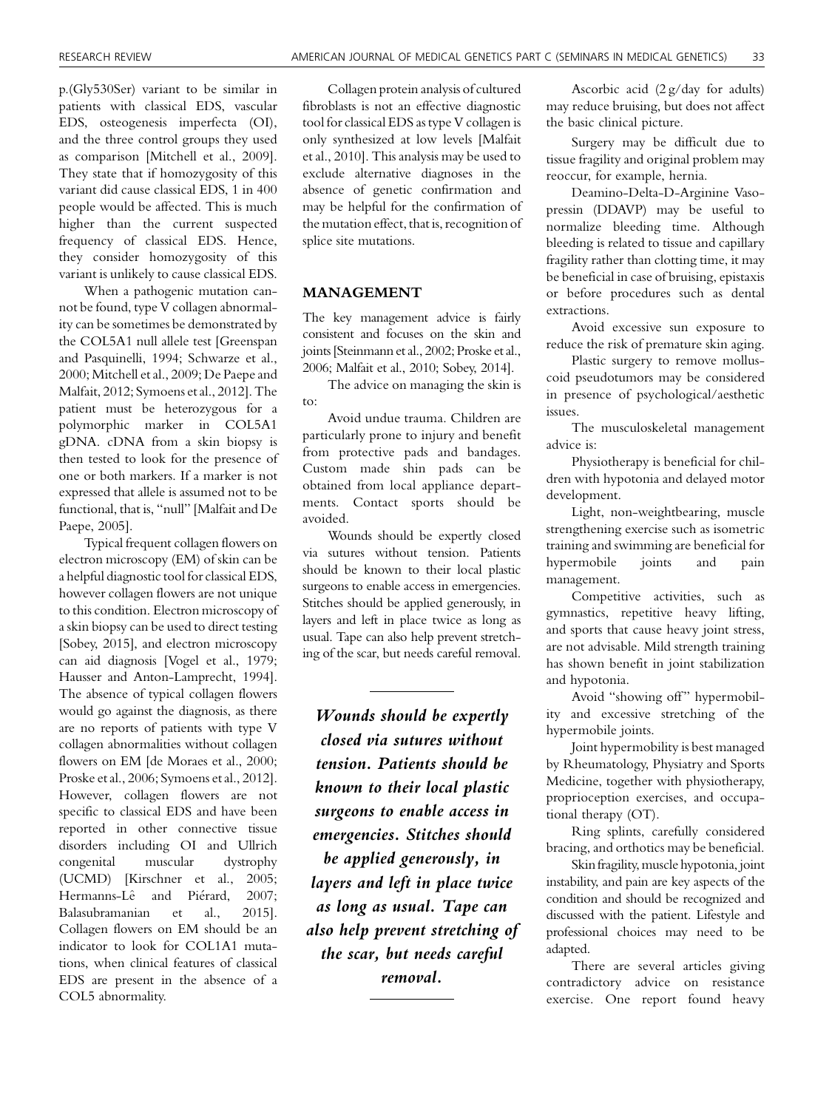p.(Gly530Ser) variant to be similar in patients with classical EDS, vascular EDS, osteogenesis imperfecta (OI), and the three control groups they used as comparison [Mitchell et al., 2009]. They state that if homozygosity of this variant did cause classical EDS, 1 in 400 people would be affected. This is much higher than the current suspected frequency of classical EDS. Hence, they consider homozygosity of this variant is unlikely to cause classical EDS.

When a pathogenic mutation cannot be found, type V collagen abnormality can be sometimes be demonstrated by the COL5A1 null allele test [Greenspan and Pasquinelli, 1994; Schwarze et al., 2000; Mitchell et al., 2009; De Paepe and Malfait, 2012; Symoens et al., 2012]. The patient must be heterozygous for a polymorphic marker in COL5A1 gDNA. cDNA from a skin biopsy is then tested to look for the presence of one or both markers. If a marker is not expressed that allele is assumed not to be functional, that is, "null" [Malfait and De Paepe, 2005].

Typical frequent collagen flowers on electron microscopy (EM) of skin can be a helpful diagnostic tool for classical EDS, however collagen flowers are not unique to this condition. Electron microscopy of a skin biopsy can be used to direct testing [Sobey, 2015], and electron microscopy can aid diagnosis [Vogel et al., 1979; Hausser and Anton-Lamprecht, 1994]. The absence of typical collagen flowers would go against the diagnosis, as there are no reports of patients with type V collagen abnormalities without collagen flowers on EM [de Moraes et al., 2000; Proske et al., 2006; Symoens et al., 2012]. However, collagen flowers are not specific to classical EDS and have been reported in other connective tissue disorders including OI and Ullrich congenital muscular dystrophy (UCMD) [Kirschner et al., 2005; Hermanns-Lê and Piérard, 2007; Balasubramanian et al., 2015]. Collagen flowers on EM should be an indicator to look for COL1A1 mutations, when clinical features of classical EDS are present in the absence of a COL5 abnormality.

Collagen protein analysis of cultured fibroblasts is not an effective diagnostic tool for classical EDS as type V collagen is only synthesized at low levels [Malfait et al., 2010]. This analysis may be used to exclude alternative diagnoses in the absence of genetic confirmation and may be helpful for the confirmation of the mutation effect, that is, recognition of splice site mutations.

## MANAGEMENT

The key management advice is fairly consistent and focuses on the skin and joints [Steinmann et al., 2002; Proske et al., 2006; Malfait et al., 2010; Sobey, 2014].

The advice on managing the skin is to:

Avoid undue trauma. Children are particularly prone to injury and benefit from protective pads and bandages. Custom made shin pads can be obtained from local appliance departments. Contact sports should be avoided.

Wounds should be expertly closed via sutures without tension. Patients should be known to their local plastic surgeons to enable access in emergencies. Stitches should be applied generously, in layers and left in place twice as long as usual. Tape can also help prevent stretching of the scar, but needs careful removal.

Wounds should be expertly closed via sutures without tension. Patients should be known to their local plastic surgeons to enable access in emergencies. Stitches should be applied generously, in layers and left in place twice as long as usual. Tape can also help prevent stretching of the scar, but needs careful removal.

Ascorbic acid (2 g/day for adults) may reduce bruising, but does not affect the basic clinical picture.

Surgery may be difficult due to tissue fragility and original problem may reoccur, for example, hernia.

Deamino-Delta-D-Arginine Vasopressin (DDAVP) may be useful to normalize bleeding time. Although bleeding is related to tissue and capillary fragility rather than clotting time, it may be beneficial in case of bruising, epistaxis or before procedures such as dental extractions.

Avoid excessive sun exposure to reduce the risk of premature skin aging.

Plastic surgery to remove molluscoid pseudotumors may be considered in presence of psychological/aesthetic issues.

The musculoskeletal management advice is:

Physiotherapy is beneficial for children with hypotonia and delayed motor development.

Light, non-weightbearing, muscle strengthening exercise such as isometric training and swimming are beneficial for hypermobile joints and pain management.

Competitive activities, such as gymnastics, repetitive heavy lifting, and sports that cause heavy joint stress, are not advisable. Mild strength training has shown benefit in joint stabilization and hypotonia.

Avoid "showing off" hypermobility and excessive stretching of the hypermobile joints.

Joint hypermobility is best managed by Rheumatology, Physiatry and Sports Medicine, together with physiotherapy, proprioception exercises, and occupational therapy (OT).

Ring splints, carefully considered bracing, and orthotics may be beneficial.

Skin fragility, muscle hypotonia, joint instability, and pain are key aspects of the condition and should be recognized and discussed with the patient. Lifestyle and professional choices may need to be adapted.

There are several articles giving contradictory advice on resistance exercise. One report found heavy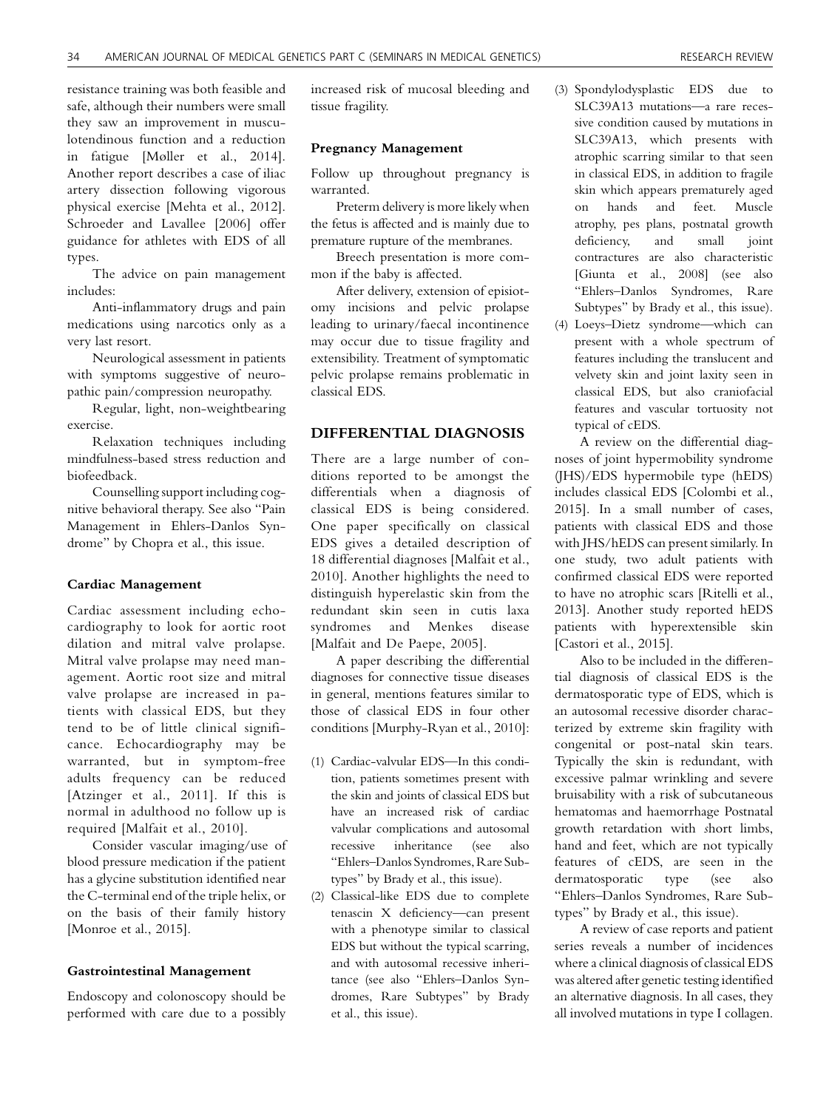resistance training was both feasible and safe, although their numbers were small they saw an improvement in musculotendinous function and a reduction in fatigue [Møller et al., 2014]. Another report describes a case of iliac artery dissection following vigorous physical exercise [Mehta et al., 2012]. Schroeder and Lavallee [2006] offer guidance for athletes with EDS of all types.

The advice on pain management includes:

Anti-inflammatory drugs and pain medications using narcotics only as a very last resort.

Neurological assessment in patients with symptoms suggestive of neuropathic pain/compression neuropathy.

Regular, light, non-weightbearing exercise.

Relaxation techniques including mindfulness-based stress reduction and biofeedback.

Counselling support including cognitive behavioral therapy. See also "Pain Management in Ehlers-Danlos Syndrome" by Chopra et al., this issue.

#### Cardiac Management

Cardiac assessment including echocardiography to look for aortic root dilation and mitral valve prolapse. Mitral valve prolapse may need management. Aortic root size and mitral valve prolapse are increased in patients with classical EDS, but they tend to be of little clinical significance. Echocardiography may be warranted, but in symptom-free adults frequency can be reduced [Atzinger et al., 2011]. If this is normal in adulthood no follow up is required [Malfait et al., 2010].

Consider vascular imaging/use of blood pressure medication if the patient has a glycine substitution identified near the C-terminal end of the triple helix, or on the basis of their family history [Monroe et al., 2015].

#### Gastrointestinal Management

Endoscopy and colonoscopy should be performed with care due to a possibly increased risk of mucosal bleeding and tissue fragility.

#### Pregnancy Management

Follow up throughout pregnancy is warranted.

Preterm delivery is more likely when the fetus is affected and is mainly due to premature rupture of the membranes.

Breech presentation is more common if the baby is affected.

After delivery, extension of episiotomy incisions and pelvic prolapse leading to urinary/faecal incontinence may occur due to tissue fragility and extensibility. Treatment of symptomatic pelvic prolapse remains problematic in classical EDS.

#### DIFFERENTIAL DIAGNOSIS

There are a large number of conditions reported to be amongst the differentials when a diagnosis of classical EDS is being considered. One paper specifically on classical EDS gives a detailed description of 18 differential diagnoses [Malfait et al., 2010]. Another highlights the need to distinguish hyperelastic skin from the redundant skin seen in cutis laxa syndromes and Menkes disease [Malfait and De Paepe, 2005].

A paper describing the differential diagnoses for connective tissue diseases in general, mentions features similar to those of classical EDS in four other conditions [Murphy-Ryan et al., 2010]:

- (1) Cardiac-valvular EDS—In this condition, patients sometimes present with the skin and joints of classical EDS but have an increased risk of cardiac valvular complications and autosomal recessive inheritance (see also "Ehlers–Danlos Syndromes, Rare Subtypes" by Brady et al., this issue).
- (2) Classical-like EDS due to complete tenascin X deficiency—can present with a phenotype similar to classical EDS but without the typical scarring, and with autosomal recessive inheritance (see also "Ehlers–Danlos Syndromes, Rare Subtypes" by Brady et al., this issue).
- (3) Spondylodysplastic EDS due to SLC39A13 mutations—a rare recessive condition caused by mutations in SLC39A13, which presents with atrophic scarring similar to that seen in classical EDS, in addition to fragile skin which appears prematurely aged on hands and feet. Muscle atrophy, pes plans, postnatal growth deficiency, and small joint contractures are also characteristic [Giunta et al., 2008] (see also "Ehlers–Danlos Syndromes, Rare Subtypes" by Brady et al., this issue).
- (4) Loeys–Dietz syndrome—which can present with a whole spectrum of features including the translucent and velvety skin and joint laxity seen in classical EDS, but also craniofacial features and vascular tortuosity not typical of cEDS.

A review on the differential diagnoses of joint hypermobility syndrome (JHS)/EDS hypermobile type (hEDS) includes classical EDS [Colombi et al., 2015]. In a small number of cases, patients with classical EDS and those with JHS/hEDS can present similarly. In one study, two adult patients with confirmed classical EDS were reported to have no atrophic scars [Ritelli et al., 2013]. Another study reported hEDS patients with hyperextensible skin [Castori et al., 2015].

Also to be included in the differential diagnosis of classical EDS is the dermatosporatic type of EDS, which is an autosomal recessive disorder characterized by extreme skin fragility with congenital or post-natal skin tears. Typically the skin is redundant, with excessive palmar wrinkling and severe bruisability with a risk of subcutaneous hematomas and haemorrhage Postnatal growth retardation with short limbs, hand and feet, which are not typically features of cEDS, are seen in the dermatosporatic type (see also "Ehlers–Danlos Syndromes, Rare Subtypes" by Brady et al., this issue).

A review of case reports and patient series reveals a number of incidences where a clinical diagnosis of classical EDS was altered after genetic testing identified an alternative diagnosis. In all cases, they all involved mutations in type I collagen.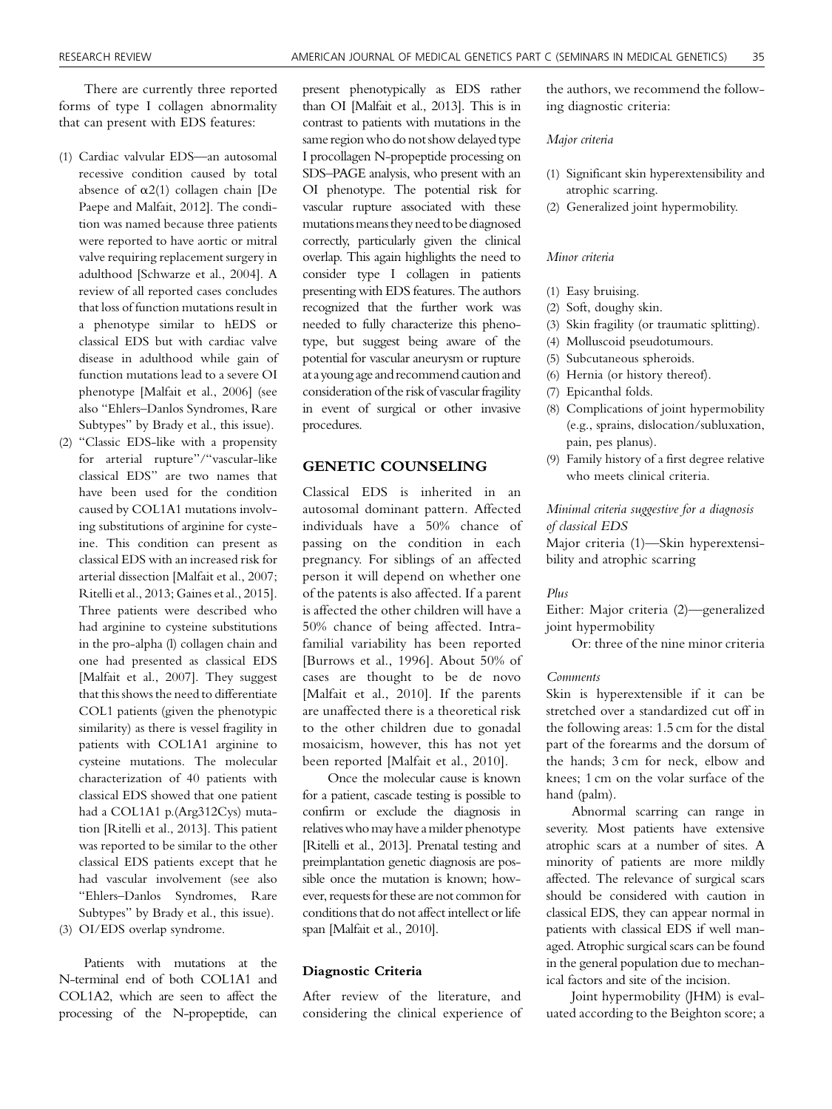There are currently three reported forms of type I collagen abnormality that can present with EDS features:

- (1) Cardiac valvular EDS—an autosomal recessive condition caused by total absence of  $\alpha$ 2(1) collagen chain [De Paepe and Malfait, 2012]. The condition was named because three patients were reported to have aortic or mitral valve requiring replacement surgery in adulthood [Schwarze et al., 2004]. A review of all reported cases concludes that loss of function mutations result in a phenotype similar to hEDS or classical EDS but with cardiac valve disease in adulthood while gain of function mutations lead to a severe OI phenotype [Malfait et al., 2006] (see also "Ehlers–Danlos Syndromes, Rare Subtypes" by Brady et al., this issue).
- (2) "Classic EDS-like with a propensity for arterial rupture"/"vascular-like classical EDS" are two names that have been used for the condition caused by COL1A1 mutations involving substitutions of arginine for cysteine. This condition can present as classical EDS with an increased risk for arterial dissection [Malfait et al., 2007; Ritelli et al., 2013; Gaines et al., 2015]. Three patients were described who had arginine to cysteine substitutions in the pro-alpha (l) collagen chain and one had presented as classical EDS [Malfait et al., 2007]. They suggest that this shows the need to differentiate COL1 patients (given the phenotypic similarity) as there is vessel fragility in patients with COL1A1 arginine to cysteine mutations. The molecular characterization of 40 patients with classical EDS showed that one patient had a COL1A1 p.(Arg312Cys) mutation [Ritelli et al., 2013]. This patient was reported to be similar to the other classical EDS patients except that he had vascular involvement (see also "Ehlers–Danlos Syndromes, Rare Subtypes" by Brady et al., this issue). (3) OI/EDS overlap syndrome.

Patients with mutations at the N-terminal end of both COL1A1 and COL1A2, which are seen to affect the processing of the N-propeptide, can present phenotypically as EDS rather than OI [Malfait et al., 2013]. This is in contrast to patients with mutations in the same region who do not show delayed type I procollagen N-propeptide processing on SDS–PAGE analysis, who present with an OI phenotype. The potential risk for vascular rupture associated with these mutations means they need to be diagnosed correctly, particularly given the clinical overlap. This again highlights the need to consider type I collagen in patients presenting with EDS features. The authors recognized that the further work was needed to fully characterize this phenotype, but suggest being aware of the potential for vascular aneurysm or rupture at ayoung age and recommend caution and consideration ofthe risk of vascular fragility in event of surgical or other invasive procedures.

# GENETIC COUNSELING

Classical EDS is inherited in an autosomal dominant pattern. Affected individuals have a 50% chance of passing on the condition in each pregnancy. For siblings of an affected person it will depend on whether one of the patents is also affected. If a parent is affected the other children will have a 50% chance of being affected. Intrafamilial variability has been reported [Burrows et al., 1996]. About 50% of cases are thought to be de novo [Malfait et al., 2010]. If the parents are unaffected there is a theoretical risk to the other children due to gonadal mosaicism, however, this has not yet been reported [Malfait et al., 2010].

Once the molecular cause is known for a patient, cascade testing is possible to confirm or exclude the diagnosis in relatives who may have a milder phenotype [Ritelli et al., 2013]. Prenatal testing and preimplantation genetic diagnosis are possible once the mutation is known; however, requests for these are not common for conditions that do not affect intellect or life span [Malfait et al., 2010].

## Diagnostic Criteria

After review of the literature, and considering the clinical experience of the authors, we recommend the following diagnostic criteria:

#### Major criteria

- (1) Significant skin hyperextensibility and atrophic scarring.
- (2) Generalized joint hypermobility.

#### Minor criteria

- (1) Easy bruising.
- (2) Soft, doughy skin.
- (3) Skin fragility (or traumatic splitting).
- (4) Molluscoid pseudotumours.
- (5) Subcutaneous spheroids.
- (6) Hernia (or history thereof).
- (7) Epicanthal folds.
- (8) Complications of joint hypermobility (e.g., sprains, dislocation/subluxation, pain, pes planus).
- (9) Family history of a first degree relative who meets clinical criteria.

#### Minimal criteria suggestive for a diagnosis of classical EDS

Major criteria (1)—Skin hyperextensibility and atrophic scarring

#### Plus

Either: Major criteria (2)—generalized joint hypermobility

Or: three of the nine minor criteria

#### Comments

Skin is hyperextensible if it can be stretched over a standardized cut off in the following areas: 1.5 cm for the distal part of the forearms and the dorsum of the hands; 3 cm for neck, elbow and knees; 1 cm on the volar surface of the hand (palm).

Abnormal scarring can range in severity. Most patients have extensive atrophic scars at a number of sites. A minority of patients are more mildly affected. The relevance of surgical scars should be considered with caution in classical EDS, they can appear normal in patients with classical EDS if well managed. Atrophic surgical scars can be found in the general population due to mechanical factors and site of the incision.

Joint hypermobility (JHM) is evaluated according to the Beighton score; a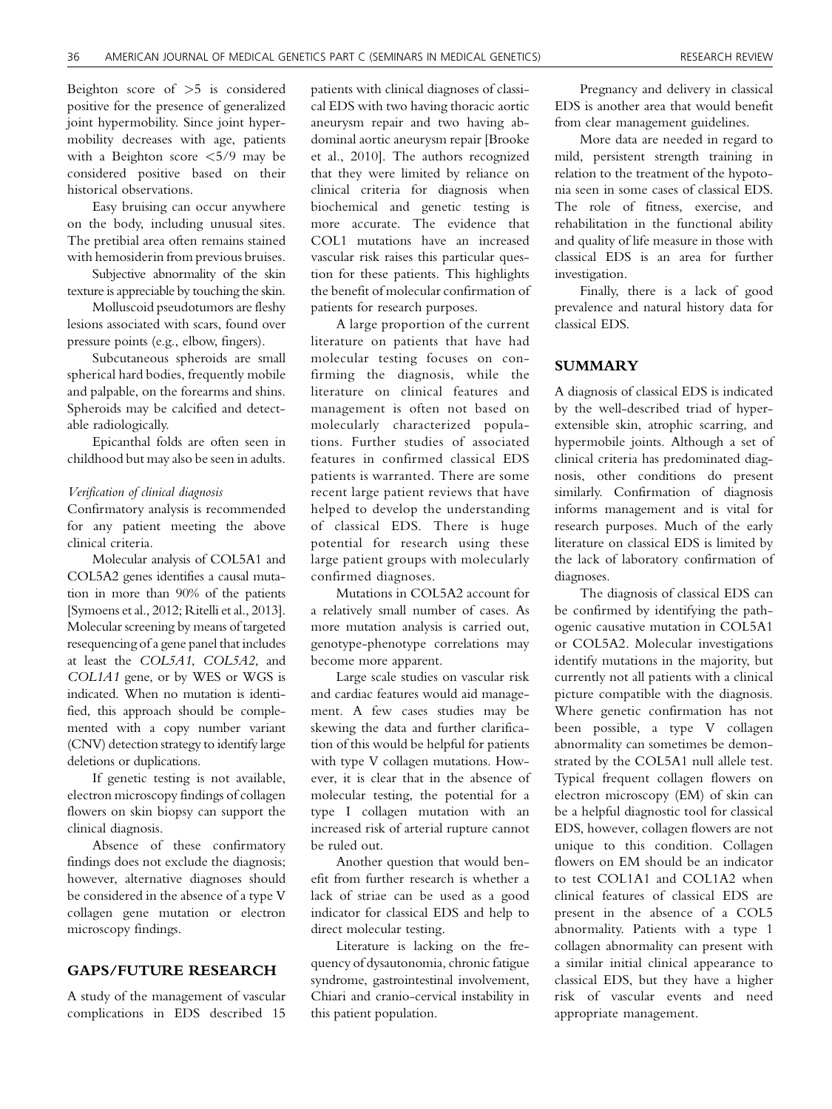Beighton score of  $>5$  is considered positive for the presence of generalized joint hypermobility. Since joint hypermobility decreases with age, patients with a Beighton score <5/9 may be considered positive based on their historical observations.

Easy bruising can occur anywhere on the body, including unusual sites. The pretibial area often remains stained with hemosiderin from previous bruises.

Subjective abnormality of the skin texture is appreciable by touching the skin.

Molluscoid pseudotumors are fleshy lesions associated with scars, found over pressure points (e.g., elbow, fingers).

Subcutaneous spheroids are small spherical hard bodies, frequently mobile and palpable, on the forearms and shins. Spheroids may be calcified and detectable radiologically.

Epicanthal folds are often seen in childhood but may also be seen in adults.

#### Verification of clinical diagnosis

Confirmatory analysis is recommended for any patient meeting the above clinical criteria.

Molecular analysis of COL5A1 and COL5A2 genes identifies a causal mutation in more than 90% of the patients [Symoens et al., 2012; Ritelli et al., 2013]. Molecular screening by means of targeted resequencing of a gene panel that includes at least the COL5A1, COL5A2, and COL1A1 gene, or by WES or WGS is indicated. When no mutation is identified, this approach should be complemented with a copy number variant (CNV) detection strategy to identify large deletions or duplications.

If genetic testing is not available, electron microscopy findings of collagen flowers on skin biopsy can support the clinical diagnosis.

Absence of these confirmatory findings does not exclude the diagnosis; however, alternative diagnoses should be considered in the absence of a type V collagen gene mutation or electron microscopy findings.

## GAPS/FUTURE RESEARCH

A study of the management of vascular complications in EDS described 15

patients with clinical diagnoses of classical EDS with two having thoracic aortic aneurysm repair and two having abdominal aortic aneurysm repair [Brooke et al., 2010]. The authors recognized that they were limited by reliance on clinical criteria for diagnosis when biochemical and genetic testing is more accurate. The evidence that COL1 mutations have an increased vascular risk raises this particular question for these patients. This highlights the benefit of molecular confirmation of patients for research purposes.

A large proportion of the current literature on patients that have had molecular testing focuses on confirming the diagnosis, while the literature on clinical features and management is often not based on molecularly characterized populations. Further studies of associated features in confirmed classical EDS patients is warranted. There are some recent large patient reviews that have helped to develop the understanding of classical EDS. There is huge potential for research using these large patient groups with molecularly confirmed diagnoses.

Mutations in COL5A2 account for a relatively small number of cases. As more mutation analysis is carried out, genotype-phenotype correlations may become more apparent.

Large scale studies on vascular risk and cardiac features would aid management. A few cases studies may be skewing the data and further clarification of this would be helpful for patients with type V collagen mutations. However, it is clear that in the absence of molecular testing, the potential for a type I collagen mutation with an increased risk of arterial rupture cannot be ruled out.

Another question that would benefit from further research is whether a lack of striae can be used as a good indicator for classical EDS and help to direct molecular testing.

Literature is lacking on the frequency of dysautonomia, chronic fatigue syndrome, gastrointestinal involvement, Chiari and cranio-cervical instability in this patient population.

Pregnancy and delivery in classical EDS is another area that would benefit from clear management guidelines.

More data are needed in regard to mild, persistent strength training in relation to the treatment of the hypotonia seen in some cases of classical EDS. The role of fitness, exercise, and rehabilitation in the functional ability and quality of life measure in those with classical EDS is an area for further investigation.

Finally, there is a lack of good prevalence and natural history data for classical EDS.

## SUMMARY

A diagnosis of classical EDS is indicated by the well-described triad of hyperextensible skin, atrophic scarring, and hypermobile joints. Although a set of clinical criteria has predominated diagnosis, other conditions do present similarly. Confirmation of diagnosis informs management and is vital for research purposes. Much of the early literature on classical EDS is limited by the lack of laboratory confirmation of diagnoses.

The diagnosis of classical EDS can be confirmed by identifying the pathogenic causative mutation in COL5A1 or COL5A2. Molecular investigations identify mutations in the majority, but currently not all patients with a clinical picture compatible with the diagnosis. Where genetic confirmation has not been possible, a type V collagen abnormality can sometimes be demonstrated by the COL5A1 null allele test. Typical frequent collagen flowers on electron microscopy (EM) of skin can be a helpful diagnostic tool for classical EDS, however, collagen flowers are not unique to this condition. Collagen flowers on EM should be an indicator to test COL1A1 and COL1A2 when clinical features of classical EDS are present in the absence of a COL5 abnormality. Patients with a type 1 collagen abnormality can present with a similar initial clinical appearance to classical EDS, but they have a higher risk of vascular events and need appropriate management.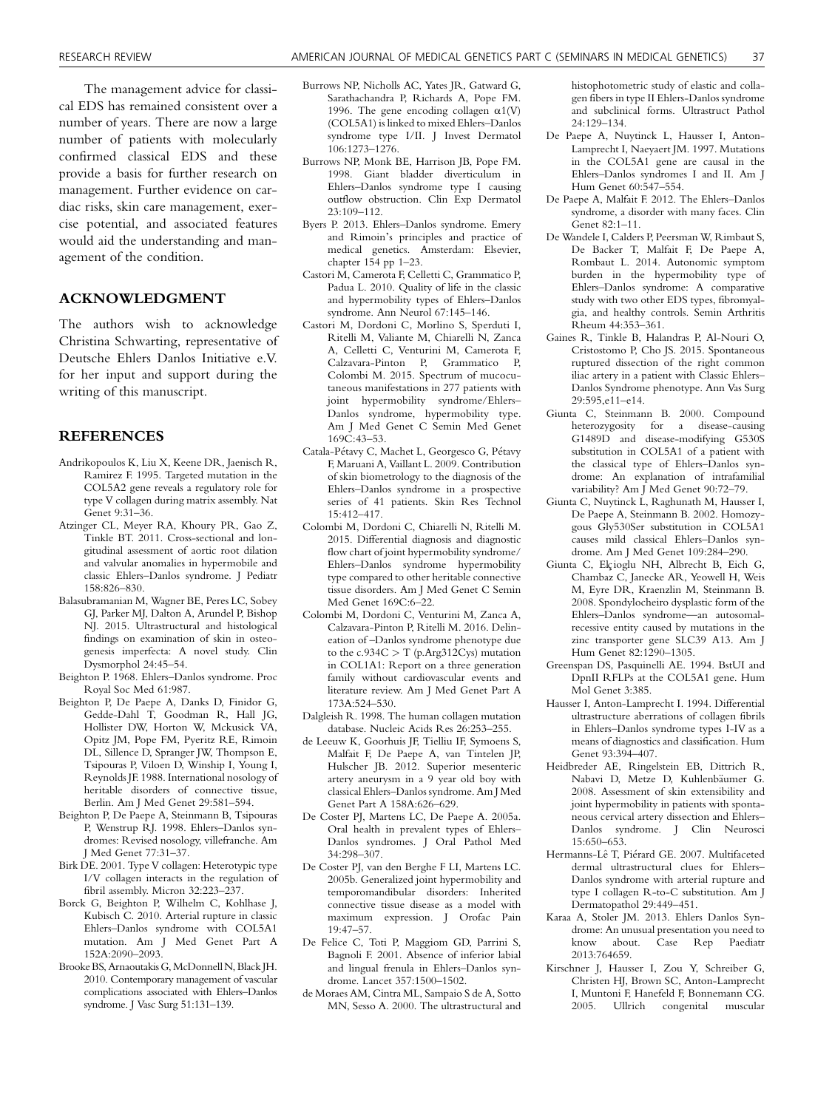The management advice for classical EDS has remained consistent over a number of years. There are now a large number of patients with molecularly confirmed classical EDS and these provide a basis for further research on management. Further evidence on cardiac risks, skin care management, exercise potential, and associated features would aid the understanding and management of the condition.

#### ACKNOWLEDGMENT

The authors wish to acknowledge Christina Schwarting, representative of Deutsche Ehlers Danlos Initiative e.V. for her input and support during the writing of this manuscript.

#### REFERENCES

- Andrikopoulos K, Liu X, Keene DR, Jaenisch R, Ramirez F. 1995. Targeted mutation in the COL5A2 gene reveals a regulatory role for type V collagen during matrix assembly. Nat Genet 9:31–36.
- Atzinger CL, Meyer RA, Khoury PR, Gao Z, Tinkle BT. 2011. Cross-sectional and longitudinal assessment of aortic root dilation and valvular anomalies in hypermobile and classic Ehlers–Danlos syndrome. J Pediatr 158:826–830.
- Balasubramanian M, Wagner BE, Peres LC, Sobey GJ, Parker MJ, Dalton A, Arundel P, Bishop NJ. 2015. Ultrastructural and histological findings on examination of skin in osteogenesis imperfecta: A novel study. Clin Dysmorphol 24:45–54.
- Beighton P. 1968. Ehlers–Danlos syndrome. Proc Royal Soc Med 61:987.
- Beighton P, De Paepe A, Danks D, Finidor G, Gedde-Dahl T, Goodman R, Hall JG, Hollister DW, Horton W, Mckusick VA, Opitz JM, Pope FM, Pyeritz RE, Rimoin DL, Sillence D, Spranger JW, Thompson E, Tsipouras P, Viloen D, Winship I, Young I, Reynolds JF. 1988. International nosology of heritable disorders of connective tissue, Berlin. Am J Med Genet 29:581–594.
- Beighton P, De Paepe A, Steinmann B, Tsipouras P, Wenstrup RJ. 1998. Ehlers–Danlos syndromes: Revised nosology, villefranche. Am J Med Genet 77:31–37.
- Birk DE. 2001. Type V collagen: Heterotypic type I/V collagen interacts in the regulation of fibril assembly. Micron 32:223–237.
- Borck G, Beighton P, Wilhelm C, Kohlhase J, Kubisch C. 2010. Arterial rupture in classic Ehlers–Danlos syndrome with COL5A1 mutation. Am J Med Genet Part A 152A:2090–2093.
- Brooke BS, Arnaoutakis G, McDonnell N, Black JH. 2010. Contemporary management of vascular complications associated with Ehlers–Danlos syndrome. J Vasc Surg 51:131–139.
- Burrows NP, Nicholls AC, Yates JR, Gatward G, Sarathachandra P, Richards A, Pope FM. 1996. The gene encoding collagen  $\alpha$ 1(V) (COL5A1) is linked to mixed Ehlers–Danlos syndrome type I/II. J Invest Dermatol 106:1273–1276.
- Burrows NP, Monk BE, Harrison JB, Pope FM. 1998. Giant bladder diverticulum in Ehlers–Danlos syndrome type I causing outflow obstruction. Clin Exp Dermatol 23:109–112.
- Byers P. 2013. Ehlers–Danlos syndrome. Emery and Rimoin's principles and practice of medical genetics. Amsterdam: Elsevier, chapter 154 pp 1–23.
- Castori M, Camerota F, Celletti C, Grammatico P, Padua L. 2010. Quality of life in the classic and hypermobility types of Ehlers–Danlos syndrome. Ann Neurol 67:145–146.
- Castori M, Dordoni C, Morlino S, Sperduti I, Ritelli M, Valiante M, Chiarelli N, Zanca A, Celletti C, Venturini M, Camerota F, Calzavara-Pinton P, Grammatico P, Colombi M. 2015. Spectrum of mucocutaneous manifestations in 277 patients with joint hypermobility syndrome/Ehlers– Danlos syndrome, hypermobility type. Am J Med Genet C Semin Med Genet 169C:43–53.
- Catala-Pétavy C, Machet L, Georgesco G, Pétavy F, Maruani A, Vaillant L. 2009. Contribution of skin biometrology to the diagnosis of the Ehlers–Danlos syndrome in a prospective series of 41 patients. Skin Res Technol 15:412–417.
- Colombi M, Dordoni C, Chiarelli N, Ritelli M. 2015. Differential diagnosis and diagnostic flow chart of joint hypermobility syndrome/ Ehlers–Danlos syndrome hypermobility type compared to other heritable connective tissue disorders. Am J Med Genet C Semin Med Genet 169C:6–22.
- Colombi M, Dordoni C, Venturini M, Zanca A, Calzavara-Pinton P, Ritelli M. 2016. Delineation of –Danlos syndrome phenotype due to the c.934 $C > T$  (p.Arg312Cys) mutation in COL1A1: Report on a three generation family without cardiovascular events and literature review. Am J Med Genet Part A 173A:524–530.
- Dalgleish R. 1998. The human collagen mutation database. Nucleic Acids Res 26:253–255.
- de Leeuw K, Goorhuis JF, Tielliu IF, Symoens S, Malfait F, De Paepe A, van Tintelen JP, Hulscher JB. 2012. Superior mesenteric artery aneurysm in a 9 year old boy with classical Ehlers–Danlos syndrome. Am J Med Genet Part A 158A:626–629.
- De Coster PJ, Martens LC, De Paepe A. 2005a. Oral health in prevalent types of Ehlers– Danlos syndromes. J Oral Pathol Med 34:298–307.
- De Coster PJ, van den Berghe F LI, Martens LC. 2005b. Generalized joint hypermobility and temporomandibular disorders: Inherited connective tissue disease as a model with maximum expression. J Orofac Pain 19:47–57.
- De Felice C, Toti P, Maggiom GD, Parrini S, Bagnoli F. 2001. Absence of inferior labial and lingual frenula in Ehlers–Danlos syndrome. Lancet 357:1500–1502.
- de Moraes AM, Cintra ML, Sampaio S de A, Sotto MN, Sesso A. 2000. The ultrastructural and

histophotometric study of elastic and collagen fibers in type II Ehlers-Danlos syndrome and subclinical forms. Ultrastruct Pathol 24:129–134.

- De Paepe A, Nuytinck L, Hausser I, Anton-Lamprecht I, Naeyaert JM. 1997. Mutations in the COL5A1 gene are causal in the Ehlers–Danlos syndromes I and II. Am J Hum Genet 60:547–554.
- De Paepe A, Malfait F. 2012. The Ehlers–Danlos syndrome, a disorder with many faces. Clin Genet 82:1–11.
- De Wandele I, Calders P, Peersman W, Rimbaut S, De Backer T, Malfait F, De Paepe A, Rombaut L. 2014. Autonomic symptom burden in the hypermobility type of Ehlers–Danlos syndrome: A comparative study with two other EDS types, fibromyalgia, and healthy controls. Semin Arthritis Rheum 44:353–361.
- Gaines R, Tinkle B, Halandras P, Al-Nouri O, Cristostomo P, Cho JS. 2015. Spontaneous ruptured dissection of the right common iliac artery in a patient with Classic Ehlers– Danlos Syndrome phenotype. Ann Vas Surg 29:595,e11–e14.
- Giunta C, Steinmann B. 2000. Compound heterozygosity for a disease-causing G1489D and disease-modifying G530S substitution in COL5A1 of a patient with the classical type of Ehlers–Danlos syndrome: An explanation of intrafamilial variability? Am J Med Genet 90:72–79.
- Giunta C, Nuytinck L, Raghunath M, Hausser I, De Paepe A, Steinmann B. 2002. Homozygous Gly530Ser substitution in COL5A1 causes mild classical Ehlers–Danlos syndrome. Am J Med Genet 109:284–290.
- Giunta C, Elçioglu NH, Albrecht B, Eich G, Chambaz C, Janecke AR, Yeowell H, Weis M, Eyre DR, Kraenzlin M, Steinmann B. 2008. Spondylocheiro dysplastic form of the Ehlers–Danlos syndrome—an autosomalrecessive entity caused by mutations in the zinc transporter gene SLC39 A13. Am J Hum Genet 82:1290–1305.
- Greenspan DS, Pasquinelli AE. 1994. BstUI and DpnII RFLPs at the COL5A1 gene. Hum Mol Genet 3:385.
- Hausser I, Anton-Lamprecht I. 1994. Differential ultrastructure aberrations of collagen fibrils in Ehlers–Danlos syndrome types I-IV as a means of diagnostics and classification. Hum Genet 93:394–407.
- Heidbreder AE, Ringelstein EB, Dittrich R, Nabavi D, Metze D, Kuhlenbäumer G. 2008. Assessment of skin extensibility and joint hypermobility in patients with spontaneous cervical artery dissection and Ehlers– Danlos syndrome. J Clin Neurosci 15:650–653.
- Hermanns-Lê T, Piérard GE. 2007. Multifaceted dermal ultrastructural clues for Ehlers– Danlos syndrome with arterial rupture and type I collagen R-to-C substitution. Am J Dermatopathol 29:449–451.
- Karaa A, Stoler JM. 2013. Ehlers Danlos Syndrome: An unusual presentation you need to know about. Case Rep Paediatr 2013:764659.
- Kirschner J, Hausser I, Zou Y, Schreiber G, Christen HJ, Brown SC, Anton-Lamprecht I, Muntoni F, Hanefeld F, Bonnemann CG. 2005. Ullrich congenital muscular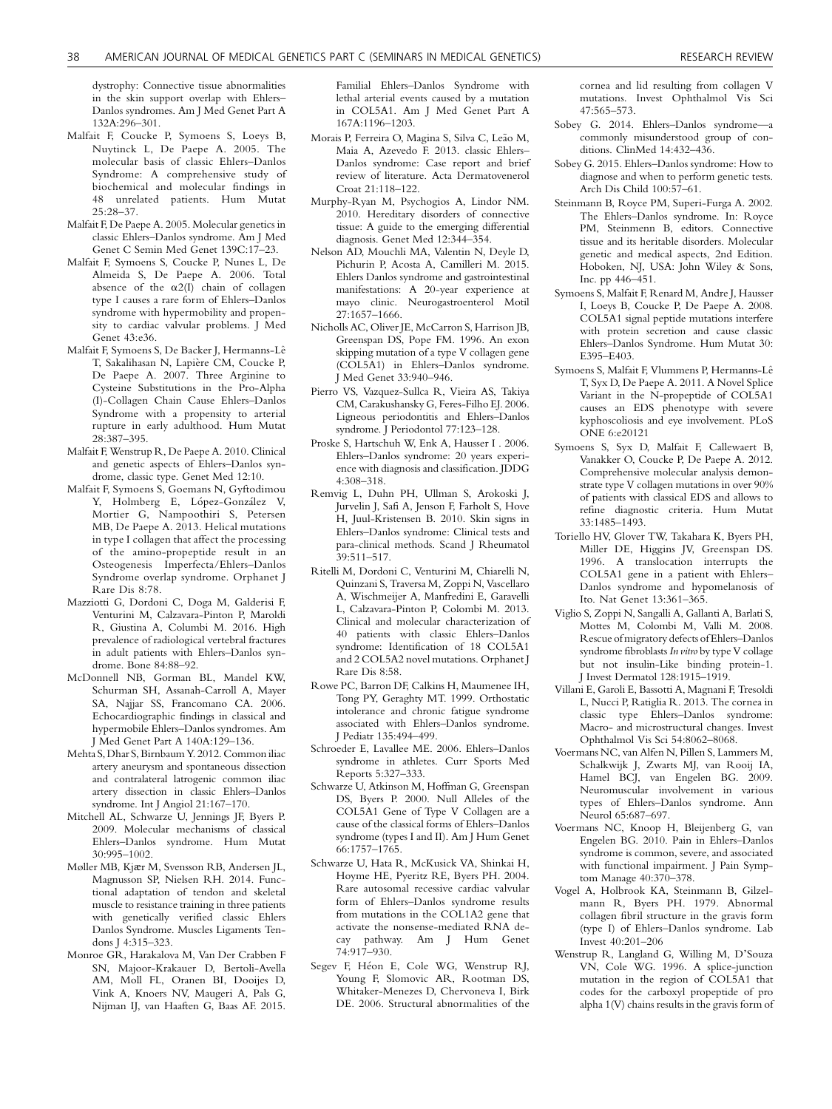dystrophy: Connective tissue abnormalities in the skin support overlap with Ehlers– Danlos syndromes. Am J Med Genet Part A 132A:296–301.

- Malfait F, Coucke P, Symoens S, Loeys B, Nuytinck L, De Paepe A. 2005. The molecular basis of classic Ehlers–Danlos Syndrome: A comprehensive study of biochemical and molecular findings in 48 unrelated patients. Hum Mutat 25:28–37.
- Malfait F, De Paepe A. 2005. Molecular genetics in classic Ehlers–Danlos syndrome. Am J Med Genet C Semin Med Genet 139C:17–23.
- Malfait F, Symoens S, Coucke P, Nunes L, De Almeida S, De Paepe A. 2006. Total absence of the  $\alpha$ 2(I) chain of collagen type I causes a rare form of Ehlers–Danlos syndrome with hypermobility and propensity to cardiac valvular problems. J Med Genet 43:e36.
- Malfait F, Symoens S, De Backer J, Hermanns-L^e T, Sakalihasan N, Lapiere CM, Coucke P, De Paepe A. 2007. Three Arginine to Cysteine Substitutions in the Pro-Alpha (I)-Collagen Chain Cause Ehlers–Danlos Syndrome with a propensity to arterial rupture in early adulthood. Hum Mutat 28:387–395.
- Malfait F, Wenstrup R, De Paepe A. 2010. Clinical and genetic aspects of Ehlers–Danlos syndrome, classic type. Genet Med 12:10.
- Malfait F, Symoens S, Goemans N, Gyftodimou Y, Holmberg E, López-González V, Mortier G, Nampoothiri S, Petersen MB, De Paepe A. 2013. Helical mutations in type I collagen that affect the processing of the amino-propeptide result in an Osteogenesis Imperfecta/Ehlers–Danlos Syndrome overlap syndrome. Orphanet J Rare Dis 8:78.
- Mazziotti G, Dordoni C, Doga M, Galderisi F, Venturini M, Calzavara-Pinton P, Maroldi R, Giustina A, Columbi M. 2016. High prevalence of radiological vertebral fractures in adult patients with Ehlers–Danlos syndrome. Bone 84:88–92.
- McDonnell NB, Gorman BL, Mandel KW, Schurman SH, Assanah-Carroll A, Mayer SA, Najjar SS, Francomano CA. 2006. Echocardiographic findings in classical and hypermobile Ehlers–Danlos syndromes. Am J Med Genet Part A 140A:129–136.
- Mehta S, Dhar S, Birnbaum Y. 2012. Common iliac artery aneurysm and spontaneous dissection and contralateral latrogenic common iliac artery dissection in classic Ehlers–Danlos syndrome. Int J Angiol 21:167–170.
- Mitchell AL, Schwarze U, Jennings JF, Byers P. 2009. Molecular mechanisms of classical Ehlers–Danlos syndrome. Hum Mutat 30:995–1002.
- Møller MB, Kjær M, Svensson RB, Andersen JL, Magnusson SP, Nielsen RH. 2014. Functional adaptation of tendon and skeletal muscle to resistance training in three patients with genetically verified classic Ehlers Danlos Syndrome. Muscles Ligaments Tendons J 4:315–323.
- Monroe GR, Harakalova M, Van Der Crabben F SN, Majoor-Krakauer D, Bertoli-Avella AM, Moll FL, Oranen BI, Dooijes D, Vink A, Knoers NV, Maugeri A, Pals G, Nijman IJ, van Haaften G, Baas AF. 2015.

Familial Ehlers–Danlos Syndrome with lethal arterial events caused by a mutation in COL5A1. Am J Med Genet Part A 167A:1196–1203.

- Morais P, Ferreira O, Magina S, Silva C, Leão M, Maia A, Azevedo F. 2013. classic Ehlers– Danlos syndrome: Case report and brief review of literature. Acta Dermatovenerol Croat 21:118–122.
- Murphy-Ryan M, Psychogios A, Lindor NM. 2010. Hereditary disorders of connective tissue: A guide to the emerging differential diagnosis. Genet Med 12:344–354.
- Nelson AD, Mouchli MA, Valentin N, Deyle D, Pichurin P, Acosta A, Camilleri M. 2015. Ehlers Danlos syndrome and gastrointestinal manifestations: A 20-year experience at mayo clinic. Neurogastroenterol Motil 27:1657–1666.
- Nicholls AC, Oliver JE, McCarron S, Harrison JB, Greenspan DS, Pope FM. 1996. An exon skipping mutation of a type V collagen gene (COL5A1) in Ehlers–Danlos syndrome. J Med Genet 33:940–946.
- Pierro VS, Vazquez-Sullca R, Vieira AS, Takiya CM, Carakushansky G, Feres-Filho EJ. 2006. Ligneous periodontitis and Ehlers–Danlos syndrome. J Periodontol 77:123–128.
- Proske S, Hartschuh W, Enk A, Hausser I . 2006. Ehlers–Danlos syndrome: 20 years experience with diagnosis and classification. JDDG 4:308–318.
- Remvig L, Duhn PH, Ullman S, Arokoski J, Jurvelin J, Safi A, Jenson F, Farholt S, Hove H, Juul-Kristensen B. 2010. Skin signs in Ehlers–Danlos syndrome: Clinical tests and para-clinical methods. Scand J Rheumatol 39:511–517.
- Ritelli M, Dordoni C, Venturini M, Chiarelli N, Quinzani S, Traversa M, Zoppi N, Vascellaro A, Wischmeijer A, Manfredini E, Garavelli L, Calzavara-Pinton P, Colombi M. 2013. Clinical and molecular characterization of 40 patients with classic Ehlers–Danlos syndrome: Identification of 18 COL5A1 and 2 COL5A2 novel mutations. Orphanet J Rare Dis 8:58.
- Rowe PC, Barron DF, Calkins H, Maumenee IH, Tong PY, Geraghty MT. 1999. Orthostatic intolerance and chronic fatigue syndrome associated with Ehlers–Danlos syndrome. J Pediatr 135:494–499.
- Schroeder E, Lavallee ME. 2006. Ehlers–Danlos syndrome in athletes. Curr Sports Med Reports 5:327–333.
- Schwarze U, Atkinson M, Hoffman G, Greenspan DS, Byers P. 2000. Null Alleles of the COL5A1 Gene of Type V Collagen are a cause of the classical forms of Ehlers–Danlos syndrome (types I and II). Am J Hum Genet 66:1757–1765.
- Schwarze U, Hata R, McKusick VA, Shinkai H, Hoyme HE, Pyeritz RE, Byers PH. 2004. Rare autosomal recessive cardiac valvular form of Ehlers–Danlos syndrome results from mutations in the COL1A2 gene that activate the nonsense-mediated RNA decay pathway. Am J Hum Genet 74:917–930.
- Segev F, Héon E, Cole WG, Wenstrup RJ, Young F, Slomovic AR, Rootman DS, Whitaker-Menezes D, Chervoneva I, Birk DE. 2006. Structural abnormalities of the

cornea and lid resulting from collagen V mutations. Invest Ophthalmol Vis Sci 47:565–573.

- Sobey G. 2014. Ehlers–Danlos syndrome—a commonly misunderstood group of conditions. ClinMed 14:432–436.
- Sobey G. 2015. Ehlers–Danlos syndrome: How to diagnose and when to perform genetic tests. Arch Dis Child 100:57–61.
- Steinmann B, Royce PM, Superi-Furga A. 2002. The Ehlers–Danlos syndrome. In: Royce PM, Steinmenn B, editors. Connective tissue and its heritable disorders. Molecular genetic and medical aspects, 2nd Edition. Hoboken, NJ, USA: John Wiley & Sons, Inc. pp 446–451.
- Symoens S, Malfait F, Renard M, Andre J, Hausser I, Loeys B, Coucke P, De Paepe A. 2008. COL5A1 signal peptide mutations interfere with protein secretion and cause classic Ehlers–Danlos Syndrome. Hum Mutat 30: E395–E403.
- Symoens S, Malfait F, Vlummens P, Hermanns-L^e T, Syx D, De Paepe A. 2011. A Novel Splice Variant in the N-propeptide of COL5A1 causes an EDS phenotype with severe kyphoscoliosis and eye involvement. PLoS ONE 6:e20121
- Symoens S, Syx D, Malfait F, Callewaert B, Vanakker O, Coucke P, De Paepe A. 2012. Comprehensive molecular analysis demonstrate type V collagen mutations in over 90% of patients with classical EDS and allows to refine diagnostic criteria. Hum Mutat 33:1485–1493.
- Toriello HV, Glover TW, Takahara K, Byers PH, Miller DE, Higgins JV, Greenspan DS. 1996. A translocation interrupts the COL5A1 gene in a patient with Ehlers– Danlos syndrome and hypomelanosis of Ito. Nat Genet 13:361–365.
- Viglio S, Zoppi N, Sangalli A, Gallanti A, Barlati S, Mottes M, Colombi M, Valli M. 2008. Rescue of migratory defects of Ehlers–Danlos syndrome fibroblasts In vitro by type V collage but not insulin-Like binding protein-1. J Invest Dermatol 128:1915–1919.
- Villani E, Garoli E, Bassotti A, Magnani F, Tresoldi L, Nucci P, Ratiglia R. 2013. The cornea in classic type Ehlers–Danlos syndrome: Macro- and microstructural changes. Invest Ophthalmol Vis Sci 54:8062–8068.
- Voermans NC, van Alfen N, Pillen S, Lammers M, Schalkwijk J, Zwarts MJ, van Rooij IA, Hamel BCJ, van Engelen BG. 2009. Neuromuscular involvement in various types of Ehlers–Danlos syndrome. Ann Neurol 65:687–697.
- Voermans NC, Knoop H, Bleijenberg G, van Engelen BG. 2010. Pain in Ehlers–Danlos syndrome is common, severe, and associated with functional impairment. J Pain Symptom Manage 40:370–378.
- Vogel A, Holbrook KA, Steinmann B, Gilzelmann R, Byers PH. 1979. Abnormal collagen fibril structure in the gravis form (type I) of Ehlers–Danlos syndrome. Lab Invest 40:201–206
- Wenstrup R, Langland G, Willing M, D'Souza VN, Cole WG. 1996. A splice-junction mutation in the region of COL5A1 that codes for the carboxyl propeptide of pro alpha 1(V) chains results in the gravis form of